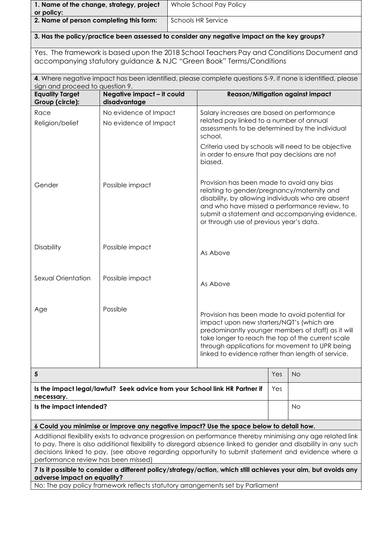| 1. Name of the change, strategy, project<br>or policy:                                                                                                                                                                                                                                                                                                                    |                                                | Whole School Pay Policy |                                                                                                                                                                                                                                                                                                               |                                                                                                                                                                                                                                                |           |  |  |  |
|---------------------------------------------------------------------------------------------------------------------------------------------------------------------------------------------------------------------------------------------------------------------------------------------------------------------------------------------------------------------------|------------------------------------------------|-------------------------|---------------------------------------------------------------------------------------------------------------------------------------------------------------------------------------------------------------------------------------------------------------------------------------------------------------|------------------------------------------------------------------------------------------------------------------------------------------------------------------------------------------------------------------------------------------------|-----------|--|--|--|
| 2. Name of person completing this form:                                                                                                                                                                                                                                                                                                                                   |                                                |                         | <b>Schools HR Service</b>                                                                                                                                                                                                                                                                                     |                                                                                                                                                                                                                                                |           |  |  |  |
| 3. Has the policy/practice been assessed to consider any negative impact on the key groups?                                                                                                                                                                                                                                                                               |                                                |                         |                                                                                                                                                                                                                                                                                                               |                                                                                                                                                                                                                                                |           |  |  |  |
| Yes. The framework is based upon the 2018 School Teachers Pay and Conditions Document and<br>accompanying statutory guidance & NJC "Green Book" Terms/Conditions                                                                                                                                                                                                          |                                                |                         |                                                                                                                                                                                                                                                                                                               |                                                                                                                                                                                                                                                |           |  |  |  |
| 4. Where negative impact has been identified, please complete questions 5-9, if none is identified, please<br>sign and proceed to question 9.                                                                                                                                                                                                                             |                                                |                         |                                                                                                                                                                                                                                                                                                               |                                                                                                                                                                                                                                                |           |  |  |  |
| <b>Equality Target</b><br>Group (circle):                                                                                                                                                                                                                                                                                                                                 | Negative impact - it could<br>disadvantage     |                         | <b>Reason/Mitigation against impact</b>                                                                                                                                                                                                                                                                       |                                                                                                                                                                                                                                                |           |  |  |  |
| Race<br>Religion/belief                                                                                                                                                                                                                                                                                                                                                   | No evidence of Impact<br>No evidence of Impact |                         | Salary increases are based on performance<br>related pay linked to a number of annual<br>assessments to be determined by the individual<br>school.<br>Criteria used by schools will need to be objective<br>in order to ensure that pay decisions are not<br>biased.                                          |                                                                                                                                                                                                                                                |           |  |  |  |
| Gender                                                                                                                                                                                                                                                                                                                                                                    | Possible impact                                |                         | or through use of previous year's data.                                                                                                                                                                                                                                                                       | Provision has been made to avoid any bias<br>relating to gender/pregnancy/maternity and<br>disability, by allowing individuals who are absent<br>and who have missed a performance review, to<br>submit a statement and accompanying evidence, |           |  |  |  |
| Disability                                                                                                                                                                                                                                                                                                                                                                | Possible impact<br>As Above                    |                         |                                                                                                                                                                                                                                                                                                               |                                                                                                                                                                                                                                                |           |  |  |  |
| Sexual Orientation                                                                                                                                                                                                                                                                                                                                                        | Possible impact<br>As Above                    |                         |                                                                                                                                                                                                                                                                                                               |                                                                                                                                                                                                                                                |           |  |  |  |
| Age                                                                                                                                                                                                                                                                                                                                                                       | Possible                                       |                         | Provision has been made to avoid potential for<br>impact upon new starters/NQT's (which are<br>predominantly younger members of staff) as it will<br>take longer to reach the top of the current scale<br>through applications for movement to UPR being<br>linked to evidence rather than length of service. |                                                                                                                                                                                                                                                |           |  |  |  |
| 5                                                                                                                                                                                                                                                                                                                                                                         |                                                |                         |                                                                                                                                                                                                                                                                                                               | Yes                                                                                                                                                                                                                                            | <b>No</b> |  |  |  |
| Is the impact legal/lawful? Seek advice from your School link HR Partner if<br>necessary.                                                                                                                                                                                                                                                                                 |                                                |                         |                                                                                                                                                                                                                                                                                                               | Yes                                                                                                                                                                                                                                            |           |  |  |  |
| Is the impact intended?                                                                                                                                                                                                                                                                                                                                                   |                                                |                         |                                                                                                                                                                                                                                                                                                               |                                                                                                                                                                                                                                                | <b>No</b> |  |  |  |
| 6 Could you minimise or improve any negative impact? Use the space below to detail how.                                                                                                                                                                                                                                                                                   |                                                |                         |                                                                                                                                                                                                                                                                                                               |                                                                                                                                                                                                                                                |           |  |  |  |
| Additional flexibility exists to advance progression on performance thereby minimising any age related link<br>to pay. There is also additional flexibility to disregard absence linked to gender and disability in any such<br>decisions linked to pay. (see above regarding opportunity to submit statement and evidence where a<br>performance review has been missed) |                                                |                         |                                                                                                                                                                                                                                                                                                               |                                                                                                                                                                                                                                                |           |  |  |  |
| 7 Is it possible to consider a different policy/strategy/action, which still achieves your aim, but avoids any<br>adverse impact on equality?                                                                                                                                                                                                                             |                                                |                         |                                                                                                                                                                                                                                                                                                               |                                                                                                                                                                                                                                                |           |  |  |  |

No: The pay policy framework reflects statutory arrangements set by Parliament